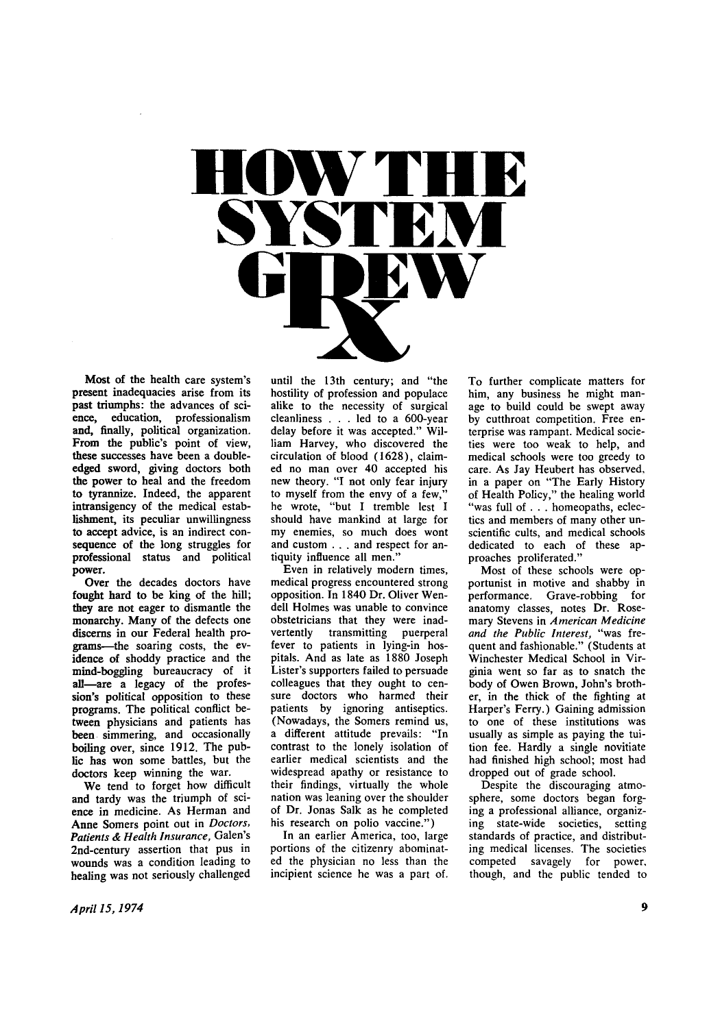

**Most of the health care system's present inadequacies arise from its past triumphs: the advances of science, education, professionalism and, finally, political organization. From the public's point of view, these successes have been a doubleedged sword, giving doctors both the power to heal and the freedom to tyrannize. Indeed, the apparent intransigency of the medical establishment, its peculiar unwillingness to accept advice, is an indirect consequence of the long struggles for professional status and political power.** 

**Over the decades doctors have fought hard to be king of the hill; they are not eager to dismantle the monarchy. Many of the defects one discerns in our Federal health programs—the soaring costs, the evidence of shoddy practice and the mind-boggling bureaucracy of it all—are a legacy of the profession's political opposition to these programs. The political conflict between physicians and patients has been simmering, and occasionally boiling over, since 1912. The public has won some battles, but the doctors keep winning the war.** 

**We tend to forget how difficult and tardy was the triumph of science in medicine. As Herman and Anne Somers point out in** *Doctors, Patients & Health Insurance,* **Galen's 2nd-century assertion that pus in wounds was a condition leading to healing was not seriously challenged**  **until the 13th century; and "the hostility of profession and populace alike to the necessity of surgical cleanliness .. . led to a 600-year delay before it was accepted." William Harvey, who discovered the circulation of blood (1628), claimed no man over 40 accepted his new theory. "I not only fear injury**  to myself from the envy of a few, **he wrote, "but I tremble lest I should have mankind at large for my enemies, so much does wont and custom . . . and respect for antiquity influence all men."** 

**Even in relatively modern times, medical progress encountered strong opposition. In 1840 Dr. Oliver Wendell Holmes was unable to convince obstetricians that they were inadvertently transmitting puerperal fever to patients in lying-in hospitals. And as late as 1880 Joseph Lister's supporters failed to persuade colleagues that they ought to censure doctors who harmed their patients by ignoring antiseptics. (Nowadays, the Somers remind us, a different attitude prevails: "In contrast to the lonely isolation of earlier medical scientists and the widespread apathy or resistance to their findings, virtually the whole nation was leaning over the shoulder of Dr. Jonas Salk as he completed his research on polio vaccine.")** 

**In an earlier America, too, large portions of the citizenry abominated the physician no less than the incipient science he was a part of.** 

**To further complicate matters for him, any business he might manage to build could be swept away by cutthroat competition. Free enterprise was rampant. Medical societies were too weak to help, and medical schools were too greedy to care. As Jay Heubert has observed, in a paper on "The Early History of Health Policy," the healing world "was full of . . . homeopaths, eclectics and members of many other unscientific cults, and medical schools dedicated to each of these approaches proliferated."** 

**Most of these schools were opportunist in motive and shabby in performance. Grave-robbing for anatomy classes, notes Dr. Rosemary Stevens in** *American Medicine and the Public Interest,* **"was frequent and fashionable." (Students at Winchester Medical School in Virginia went so far as to snatch the body of Owen Brown, John's brother, in the thick of the fighting at Harper's Ferry.) Gaining admission to one of these institutions was usually as simple as paying the tuition fee. Hardly a single novitiate had finished high school; most had dropped out of grade school.** 

**Despite the discouraging atmosphere, some doctors began forging a professional alliance, organizing state-wide societies, setting standards of practice, and distributing medical licenses. The societies competed savagely for power, though, and the public tended to**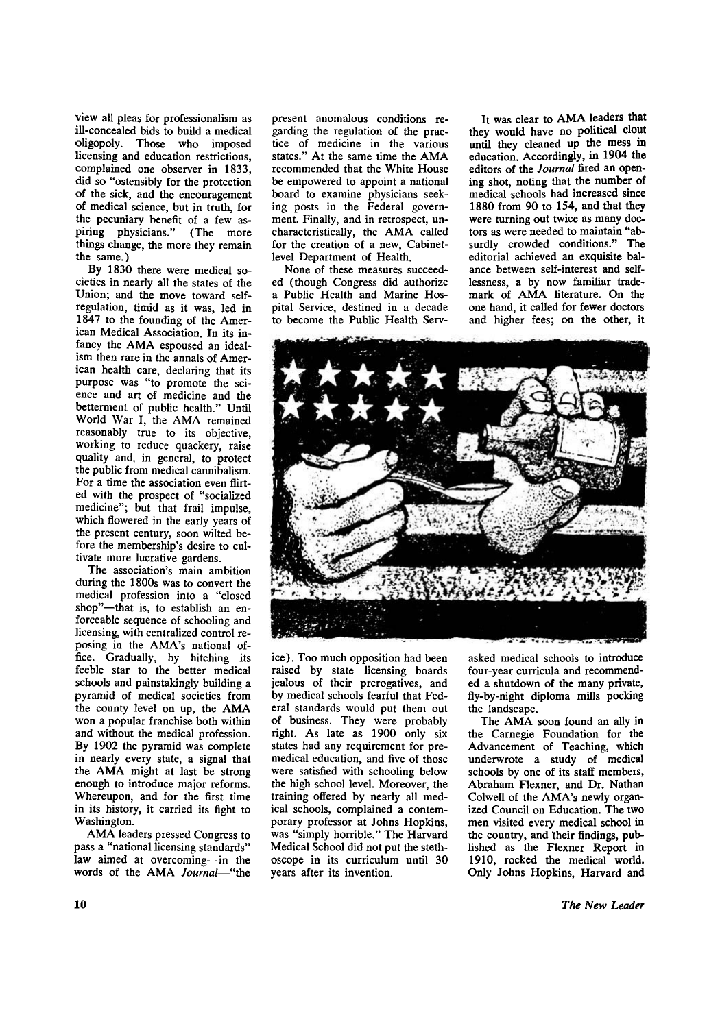**view all pleas for professionalism as ill-concealed bids to build a medical oligopoly. Those who imposed licensing and education restrictions, complained one observer in 1833, did so "ostensibly for the protection of the sick, and the encouragement of medical science, but in truth, for the pecuniary benefit of a few aspiring physicians." (The more things change, the more they remain the same.)** 

**By 1830 there were medical societies in nearly all the states of the Union; and the move toward selfregulation, timid as it was, led in 1847 to the founding of the American Medical Association. In its in**fancy the AMA espoused an ideal**ism then rare in the annals of American health care, declaring that its purpose was "to promote the science and art of medicine and the betterment of public health." Until**  World War I, the AMA remained **reasonably true to its objective, working to reduce quackery, raise quality and, in general, to protect the public from medical cannibalism. For a time the association even flirted with the prospect of "socialized medicine"; but that frail impulse, which flowered in the early years of the present century, soon wilted before the membership's desire to cultivate more lucrative gardens.** 

**The association's main ambition during the 1800s was to convert the medical profession into a "closed shop"—that is, to establish an enforceable sequence of schooling and licensing, with centralized control reposing in the AMA's national office. Gradually, by hitching its feeble star to the better medical schools and painstakingly building a pyramid of medical societies from**  the county level on up, the AMA **won a popular franchise both within and without the medical profession. By 1902 the pyramid was complete in nearly every state, a signal that the AM A might at last be strong enough to introduce major reforms. Whereupon, and for the first time in its history, it carried its fight to Washington.** 

**A M A leaders pressed Congress to pass a "national licensing standards" law aimed at overcoming—in the**  words of the AMA *Journal*—"the

**present anomalous conditions regarding the regulation of the practice of medicine in the various**  states." At the same time the AMA **recommended that the White House be empowered to appoint a national board to examine physicians seeking posts in the Federal government. Finally, and in retrospect, uncharacteristically, the AM A called for the creation of a new, Cabinetlevel Department of Health.** 

**None of these measures succeeded (though Congress did authorize a Public Health and Marine Hospital Service, destined in a decade to become the Public Health Serv-**

It was clear to AMA leaders that **they would have no political clout until they cleaned up the mess in education. Accordingly, in 1904 the editors of the** *Journal* **fired an opening shot, noting that the number of medical schools had increased since 1880 from 90 to 154, and that they were turning out twice as many doctors as were needed to maintain "absurdly crowded conditions." The editorial achieved an exquisite balance between self-interest and selflessness, a by now familiar trade**mark of AMA literature. On the **one hand, it called for fewer doctors and higher fees; on the other, it** 



**ice). Too much opposition had been raised by state licensing boards jealous of their prerogatives, and by medical schools fearful that Federal standards would put them out of business. They were probably right. As late as 1900 only six states had any requirement for premedical education, and five of those were satisfied with schooling below the high school level. Moreover, the training offered by nearly all medical schools, complained a contemporary professor at Johns Hopkins, was "simply horrible." The Harvard Medical School did not put the stethoscope in its curriculum until 30 years after its invention.** 

**asked medical schools to introduce four-year curricula and recommended a shutdown of the many private, fly-by-night diploma mills pocking the landscape.** 

The AMA soon found an ally in **the Carnegie Foundation for the Advancement of Teaching, which underwrote a study of medical schools by one of its staff members, Abraham Flexner, and Dr. Nathan Colwell of the AMA's newly organized Council on Education. The two men visited every medical school in the country, and their findings, published as the Flexner Report in 1910, rocked the medical world. Only Johns Hopkins, Harvard and**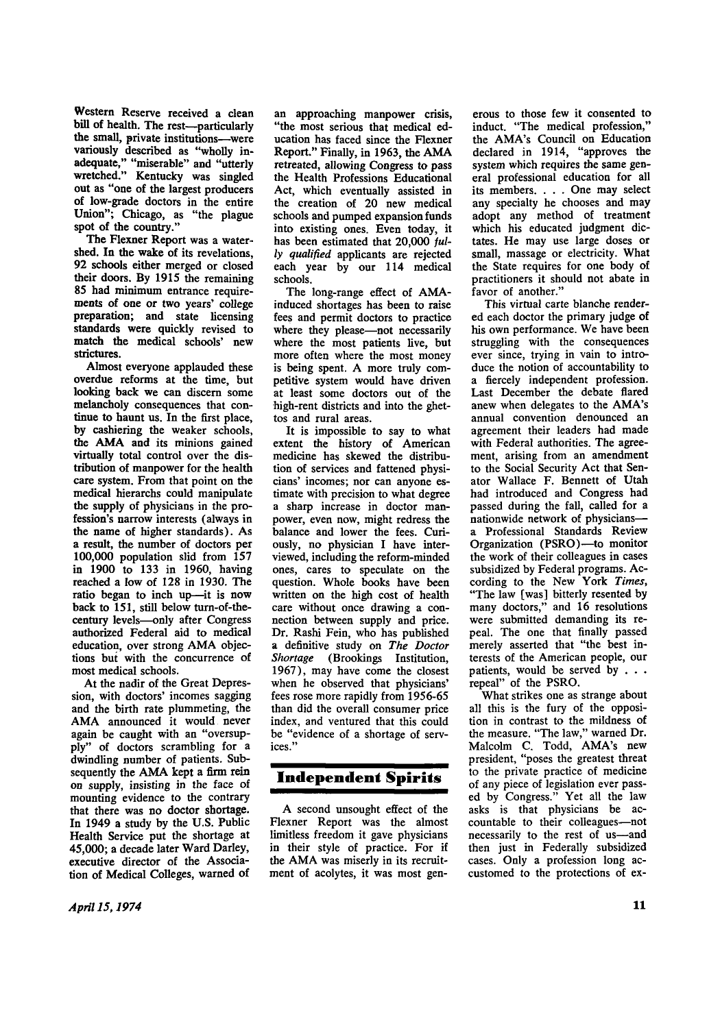**Western Reserve received a clean bill of health. The rest—particularly the small, private institutions—were variously described as "wholly inadequate," "miserable" and "utterly wretched." Kentucky was singled out as "one of the largest producers of low-grade doctors in the entire Union"; Chicago, as "the plague spot of the country."** 

**The Flexner Report was a watershed. In the wake of its revelations, 92 schools either merged or closed their doors. By 1915 the remaining 85 had minimum entrance requirements of one or two years' college preparation; and state licensing standards were quickly revised to match the medical schools' new strictures.** 

**Almost everyone applauded these overdue reforms at the time, but looking back we can discern some melancholy consequences that continue to haunt us. In the first place, by cashiering the weaker schools,**  the AMA and its minions gained **virtually total control over the distribution of manpower for the health care system. From that point on the medical hierarchs could manipulate the supply of physicians in the profession's narrow interests (always in the name of higher standards). As a result, the number of doctors per 100,000 population slid from 157 in 1900 to 133 in 1960, having reached a low of 128 in 1930. The ratio began to inch up—it is now back to 151, still below turn-of-thecentury levels—only after Congress authorized Federal aid to medical**  education, over strong AMA objec**tions but with the concurrence of most medical schools.** 

**At the nadir of the Great Depression, with doctors' incomes sagging and the birth rate plummeting, the**  AMA announced it would never **again be caught with an "oversupply" of doctors scrambling for a dwindling number of patients. Sub**sequently the AMA kept a firm rein **on supply, insisting in the face of mounting evidence to the contrary that there was no doctor shortage. In 1949 a study by the U.S. Public Health Service put the shortage at 45,000; a decade later Ward Darley, executive director of the Association of Medical Colleges, warned of**  **an approaching manpower crisis, "the most serious that medical education has faced since the Flexner**  Report." Finally, in 1963, the AMA **retreated, allowing Congress to pass the Health Professions Educational Act, which eventually assisted in the creation of 20 new medical schools and pumped expansion funds into existing ones. Even today, it has been estimated that 20,000** *fully qualified* **applicants are rejected each year by our 114 medical schools.** 

**The long-range effect of AMA induced shortages has been to raise fees and permit doctors to practice where they please—not necessarily where the most patients live, but more often where the most money is being spent. A more truly competitive system would have driven at least some doctors out of the high-rent districts and into the ghettos and rural areas.** 

**It is impossible to say to what extent the history of American medicine has skewed the distribution of services and fattened physicians' incomes; nor can anyone estimate with precision to what degree a sharp increase in doctor manpower, even now, might redress the balance and lower the fees. Curiously, no physician I have interviewed, including the reform-minded ones, cares to speculate on the question. Whole books have been written on the high cost of health care without once drawing a connection between supply and price. Dr. Rashi Fein, who has published a definitive study on** *The Doctor Shortage* **(Brookings Institution, 1967), may have come the closest when he observed that physicians' fees rose more rapidly from 1956-65 than did the overall consumer price index, and ventured that this could be "evidence of a shortage of services."** 

# **Independent Spirits**

**A second unsought effect of the Flexner Report was the almost limitless freedom it gave physicians in their style of practice. For if**  the AMA was miserly in its recruit**ment of acolytes, it was most gen-**

**erous to those few it consented to induct. "The medical profession," the AMA's Council on Education declared in 1914, "approves the system which requires the same general professional education for all its members. . . . One may select any specialty he chooses and may adopt any method of treatment which his educated judgment dictates. He may use large doses or small, massage or electricity. What the State requires for one body of practitioners it should not abate in favor of another."** 

**This virtual carte blanche rendered each doctor the primary judge of his own performance. We have been struggling with the consequences ever since, trying in vain to introduce the notion of accountability to a fiercely independent profession. Last December the debate flared anew when delegates to the AMA's annual convention denounced an agreement their leaders had made with Federal authorities. The agreement, arising from an amendment to the Social Security Act that Senator Wallace F. Bennett of Utah had introduced and Congress had passed during the fall, called for a nationwide network of physicians a Professional Standards Review Organization (PSRO)—to monitor the work of their colleagues in cases subsidized by Federal programs. According to the New York** *Times,*  **"The law [was] bitterly resented by many doctors," and 16 resolutions**  many doctors, and 10 resolutions **peal. The one that finally passed**  peal. The one that finally passed merely asserted that "the best interests of the American people, our patients, would be served by . . . repeal" of the PSRO.

**What strikes one as strange about all this is the fury of the opposition in contrast to the mildness of the measure. "The law," warned Dr. Malcolm C. Todd, AMA's new president, "poses the greatest threat to the private practice of medicine of any piece of legislation ever passed by Congress." Yet all the law asks is that physicians be accountable to their colleagues—not necessarily to the rest of us—and then just in Federally subsidized cases. Only a profession long accustomed to the protections of ex-**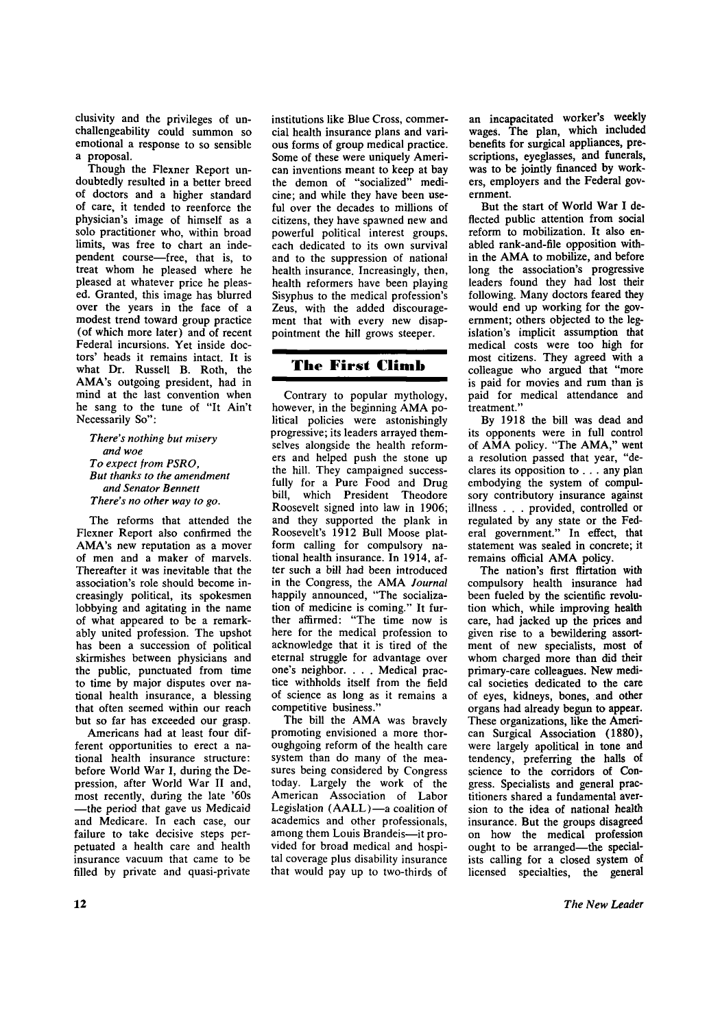**clusivity and the privileges of unchallengeability could summon so emotional a response to so sensible a proposal.** 

**Though the Flexner Report undoubtedly resulted in a better breed of doctors and a higher standard of care, it tended to reenforce the physician's image of himself as a solo practitioner who, within broad limits, was free to chart an independent course—free, that is, to treat whom he pleased where he pleased at whatever price he pleased. Granted, this image has blurred over the years in the face of a modest trend toward group practice (of which more later) and of recent Federal incursions. Yet inside doctors' heads it remains intact. It is what Dr. Russell B. Roth, the AMA's outgoing president, had in mind at the last convention when he sang to the tune of "It Ain't Necessarily So":** 

*There's nothing but misery and woe To expect from PSRO, But thanks to the amendment and Senator Bennett There's no other way to go.* 

**The reforms that attended the Flexner Report also confirmed the AMA's new reputation as a mover of men and a maker of marvels. Thereafter it was inevitable that the association's role should become increasingly political, its spokesmen lobbying and agitating in the name of what appeared to be a remarkably united profession. The upshot has been a succession of political skirmishes between physicians and the public, punctuated from time to time by major disputes over national health insurance, a blessing that often seemed within our reach but so far has exceeded our grasp.** 

**Americans had at least four different opportunities to erect a national health insurance structure: before World War I, during the Depression, after World War II and, most recently, during the late '60s —the period that gave us Medicaid and Medicare. In each case, our failure to take decisive steps perpetuated a health care and health insurance vacuum that came to be filled by private and quasi-private**  **institutions like Blue Cross, commercial health insurance plans and various forms of group medical practice. Some of these were uniquely American inventions meant to keep at bay the demon of "socialized" medicine; and while they have been useful over the decades to millions of citizens, they have spawned new and powerful political interest groups, each dedicated to its own survival and to the suppression of national health insurance. Increasingly, then, health reformers have been playing Sisyphus to the medical profession's Zeus, with the added discouragement that with every new disappointment the hill grows steeper.** 

## **The First Climb**

**Contrary to popular mythology,**  however, in the beginning AMA po**litical policies were astonishingly progressive; its leaders arrayed themselves alongside the health reformers and helped push the stone up the hill. They campaigned successfully for a Pure Food and Drug bill, which President Theodore Roosevelt signed into law in 1906; and they supported the plank in Roosevelt's 1912 Bull Moose platform calling for compulsory national health insurance. In 1914, after such a bill had been introduced**  in the Congress, the AMA Journal **happily announced, "The socialization of medicine is coming." It further affirmed: "The time now is here for the medical profession to acknowledge that it is tired of the eternal struggle for advantage over one's neighbor. . . . Medical practice withholds itself from the field of science as long as it remains a competitive business."** 

The bill the AMA was bravely **promoting envisioned a more thoroughgoing reform of the health care system than do many of the measures being considered by Congress today. Largely the work of the American Association of Labor Legislation (AALL)—a coalition of academics and other professionals, among them Louis Brandeis—it provided for broad medical and hospital coverage plus disability insurance that would pay up to two-thirds of**  **an incapacitated worker's weekly wages. The plan, which included benefits for surgical appliances, prescriptions, eyeglasses, and funerals, was to be jointly financed by workers, employers and the Federal government.** 

**But the start of World War I deflected public attention from social reform to mobilization. It also enabled rank-and-file opposition within the AM A to mobilize, and before long the association's progressive leaders found they had lost their following. Many doctors feared they would end up working for the government; others objected to the legislation's implicit assumption that medical costs were too high for most citizens. They agreed with a colleague who argued that "more is paid for movies and rum than is paid for medical attendance and treatment."** 

**By 1918 the bill was dead and its opponents were in full control of AM A policy. "The AMA, " went a resolution passed that year, "declares its opposition to . . . any plan embodying the system of compulsory contributory insurance against illness . . . provided, controlled or regulated by any state or the Federal government." In effect, that statement was sealed in concrete; it**  remains official AMA policy.

**The nation's first flirtation with compulsory health insurance had been fueled by the scientific revolution which, while improving health care, had jacked up the prices and given rise to a bewildering assortment of new specialists, most of whom charged more than did their primary-care colleagues. New medical societies dedicated to the care of eyes, kidneys, bones, and other organs had already begun to appear. These organizations, like the American Surgical Association (1880), were largely apolitical in tone and tendency, preferring the halls of science to the corridors of Congress. Specialists and general practitioners shared a fundamental aversion to the idea of national health insurance. But the groups disagreed on how the medical profession ought to be arranged—the specialists calling for a closed system of licensed specialties, the general**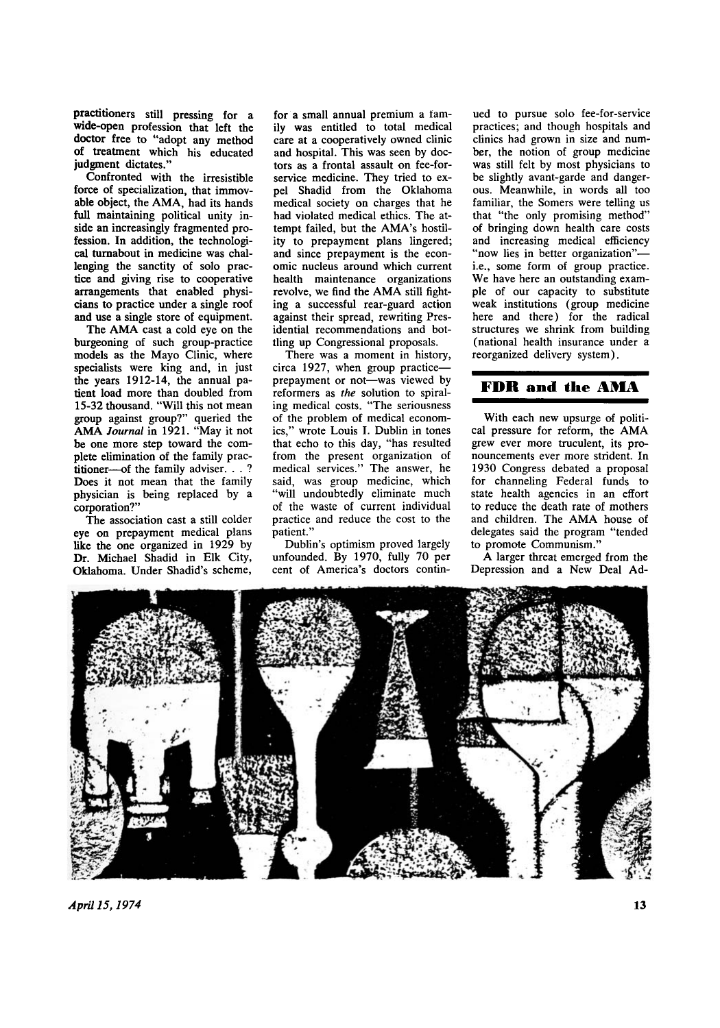**practitioners still pressing for a wide-open profession that left the doctor free to "adopt any method of treatment which his educated judgment dictates."** 

**Confronted with the irresistible force of specialization, that immovable object, the AMA , had its hands full maintaining political unity inside an increasingly fragmented profession. In addition, the technological turnabout in medicine was challenging the sanctity of solo practice and giving rise to cooperative arrangements that enabled physicians to practice under a single roof and use a single store of equipment.** 

The AMA cast a cold eye on the **burgeoning of such group-practice models as the Mayo Clinic, where specialists were king and, in just the years 1912-14, the annual patient load more than doubled from 15-32 thousand. "Will this not mean group against group?" queried the**  AMA Journal in 1921. "May it not **be one more step toward the complete elimination of the family practitioner—of the family adviser. . . ? Does it not mean that the family physician is being replaced by a corporation?"** 

**The association cast a still colder eye on prepayment medical plans like the one organized in 1929 by Dr. Michael Shadid in Elk City, Oklahoma. Under Shadid's scheme,** 

**for a small annual premium a family was entitled to total medical care at a cooperatively owned clinic and hospital. This was seen by doctors as a frontal assault on fee-forservice medicine. They tried to expel Shadid from the Oklahoma medical society on charges that he had violated medical ethics. The attempt failed, but the AMA's hostility to prepayment plans lingered; and since prepayment is the economic nucleus around which current health maintenance organizations**  revolve, we find the AMA still fight**ing a successful rear-guard action against their spread, rewriting Presidential recommendations and bottling up Congressional proposals.** 

**There was a moment in history, circa 1927, when group practice prepayment or not—was viewed by reformers as** *the* **solution to spiraling medical costs. "The seriousness of the problem of medical economics," wrote Louis I. Dublin in tones that echo to this day, "has resulted from the present organization of medical services." The answer, he said, was group medicine, which "will undoubtedly eliminate much of the waste of current individual practice and reduce the cost to the patient."** 

**Dublin's optimism proved largely unfounded. By 1970, fully 70 per cent of America's doctors contin-** **ued to pursue solo fee-for-service practices; and though hospitals and clinics had grown in size and number, the notion of group medicine was still felt by most physicians to be slightly avant-garde and dangerous. Meanwhile, in words all too familiar, the Somers were telling us that "the only promising method" of bringing down health care costs and increasing medical efficiency "now lies in better organization" i.e., some form of group practice. We have here an outstanding example of our capacity to substitute weak institutions (group medicine here and there) for the radical structures we shrink from building (national health insurance under a reorganized delivery system).** 

#### **F D R and the AM A**

**With each new upsurge of politi**cal pressure for reform, the AMA **grew ever more truculent, its pronouncements ever more strident. In 1930 Congress debated a proposal for channeling Federal funds to state health agencies in an effort to reduce the death rate of mothers**  and children. The AMA house of **delegates said the program "tended to promote Communism."** 

**A larger threat emerged from the Depression and a New Deal Ad-**

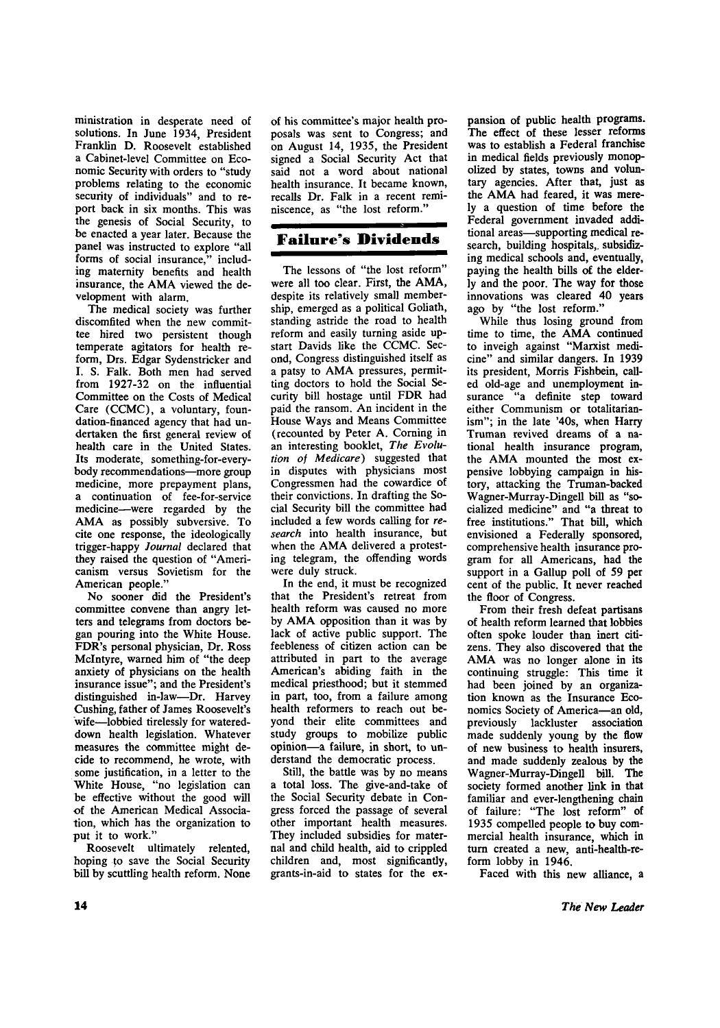**ministration in desperate need of solutions. In June 1934, President Franklin D. Roosevelt established a Cabinet-level Committee on Economic Security with orders to "study problems relating to the economic security of individuals" and to report back in six months. This was the genesis of Social Security, to be enacted a year later. Because the panel was instructed to explore "all forms of social insurance," including maternity benefits and health**  insurance, the AMA viewed the de**velopment with alarm.** 

**The medical society was further discomfited when the new committee hired two persistent though temperate agitators for health reform, Drs. Edgar Sydenstricker and I. S. Falk. Both men had served from 1927-32 on the influential Committee on the Costs of Medical Care (CCMC), a voluntary, foundation-financed agency that had undertaken the first general review of health care in the United States. Its moderate, something-for-everybody recommendations—more group medicine, more prepayment plans, a continuation of fee-for-service medicine—were regarded by the A M A as possibly subversive. To cite one response, the ideologically trigger-happy** *Journal* **declared that they raised the question of "Americanism versus Sovietism for the American people."** 

**No sooner did the President's committee convene than angry letters and telegrams from doctors began pouring into the White House. FDR's personal physician, Dr. Ross Mclntyre, warned him of "the deep anxiety of physicians on the health insurance issue"; and the President's distinguished in-law—Dr. Harvey Cushing, father of James Roosevelt's wife—lobbied tirelessly for watereddown health legislation. Whatever measures the committee might decide to recommend, he wrote, with some justification, in a letter to the White House, "no legislation can be effective without the good will of the American Medical Association, which has the organization to put it to work."** 

**Roosevelt ultimately relented, hoping to save the Social Security bill by scuttling health reform. None**  **of his committee's major health proposals was sent to Congress; and on August 14, 1935, the President signed a Social Security Act that said not a word about national health insurance. It became known, recalls Dr. Falk in a recent reminiscence, as "the lost reform."** 

## **Failure's Dividends**

**The lessons of "the lost reform" were all too clear. First, the AMA , despite its relatively small membership, emerged as a political Goliath, standing astride the road to health reform and easily turning aside upstart Davids like the CCMC. Second, Congress distinguished itself as**  a patsy to AMA pressures, permit**ting doctors to hold the Social Security bill hostage until FDR had paid the ransom. An incident in the House Ways and Means Committee (recounted by Peter A. Corning in an interesting booklet,** *The Evolution of Medicare)* **suggested that in disputes with physicians most Congressmen had the cowardice of their convictions. In drafting the Social Security bill the committee had included a few words calling for** *research* **into health insurance, but**  when the AMA delivered a protest**ing telegram, the offending words were duly struck.** 

**In the end, it must be recognized that the President's retreat from health reform was caused no more by AM A opposition than it was by lack of active public support. The feebleness of citizen action can be attributed in part to the average American's abiding faith in the medical priesthood; but it stemmed in part, too, from a failure among health reformers to reach out beyond their elite committees and study groups to mobilize public opinion—a failure, in short, to understand the democratic process.** 

**Still, the battle was by no means a total loss. The give-and-take of the Social Security debate in Congress forced the passage of several other important health measures. They included subsidies for maternal and child health, aid to crippled children and, most significantly, grants-in-aid to states for the ex-**

**pansion of public health programs. The effect of these lesser reforms was to establish a Federal franchise in medical fields previously monopolized by states, towns and voluntary agencies. After that, just as**  the AMA had feared, it was mere**ly a question of time before the Federal government invaded additional areas—supporting medical research, building hospitals,, subsidizing medical schools and, eventually, paying the health bills of the elderly and the poor. The way for those innovations was cleared 40 years ago by "the lost reform."** 

**While thus losing ground from**  time to time, the AMA continued **to inveigh against "Marxist medicine" and similar dangers. In 1939 its president, Morris Fishbein, called old-age and unemployment insurance "a definite step toward either Communism or totalitarianism"; in the late '40s, when Harry Truman revived dreams of a national health insurance program,**  the AMA mounted the most ex**pensive lobbying campaign in history, attacking the Truman-backed Wagner-Murray-Dingell bill as "socialized medicine" and "a threat to free institutions." That bill, which envisioned a Federally sponsored, comprehensive health insurance program for all Americans, had the support in a Gallup poll of 59 per cent of the public. It never reached the floor of Congress.** 

**From their fresh defeat partisans of health reform learned that lobbies often spoke louder than inert citizens. They also discovered that the**  AMA was no longer alone in its **continuing struggle: This time it had been joined by an organization known as the Insurance Economics Society of America—an old, previously lackluster association made suddenly young by the flow of new business to health insurers, and made suddenly zealous by the Wagner-Murray-Dingell bill. The society formed another link in that familiar and ever-lengthening chain of failure: "The lost reform" of 1935 compelled people to buy commercial health insurance, which in turn created a new, anti-health-reform lobby in 1946.** 

**Faced with this new alliance, a**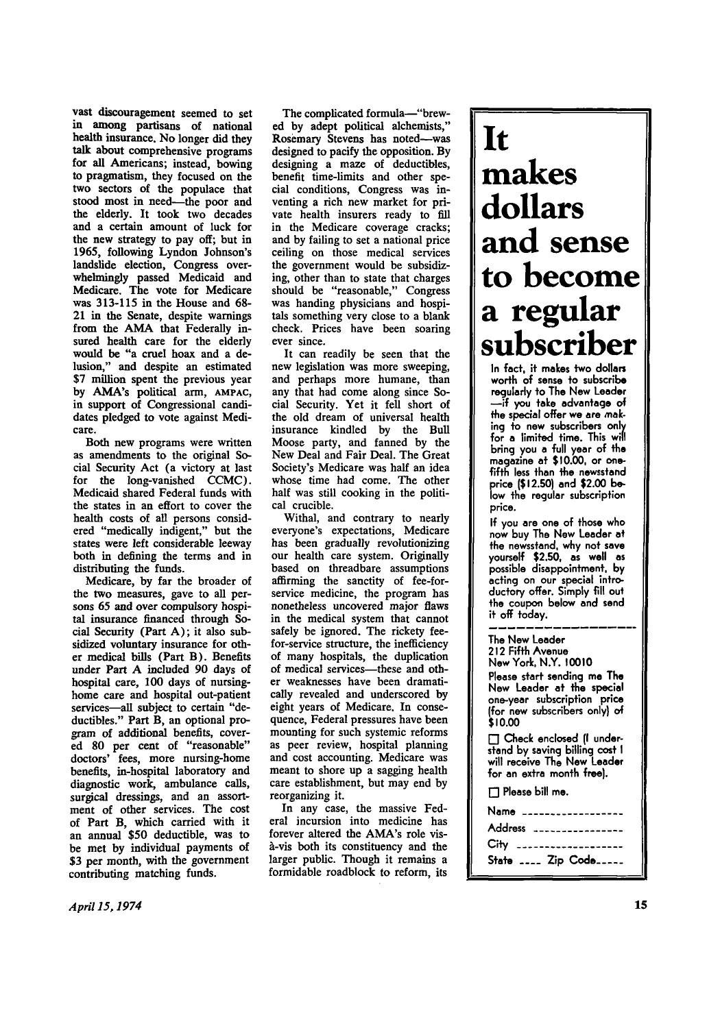**vast discouragement seemed to set in among partisans of national health insurance. No longer did they talk about comprehensive programs for all Americans; instead, bowing to pragmatism, they focused on the two sectors of the populace that stood most in need—the poor and the elderly. It took two decades and a certain amount of luck for the new strategy to pay off; but in 1965, following Lyndon Johnson's landslide election, Congress overwhelmingly passed Medicaid and Medicare. The vote for Medicare was 313-115 in the House and 68- 21 in the Senate, despite warnings**  from the AMA that Federally in**sured health care for the elderly would be "a cruel hoax and a delusion," and despite an estimated \$7 million spent the previous year by AMA's political arm,** AMPAC, by AMA's political arm, AMPAC, in support of Congressional candidates pledged to vote against Medi-<br>care.

**Both new programs were written as amendments to the original Social Security Act (a victory at last for the long-vanished CCMC). Medicaid shared Federal funds with the states in an effort to cover the health costs of all persons considered "medically indigent," but the states were left considerable leeway**  both in defining the terms and in **distributing the funds.** 

**Medicare, by far the broader of the two measures, gave to all persons 65 and over compulsory hospital insurance financed through Social Security (Part A) ; it also subsidized voluntary insurance for other medical bills (Part B). Benefits under Part A included 90 days of hospital care, 100 days of nursinghome care and hospital out-patient services—all subject to certain "deductibles." Part B, an optional program of additional benefits, covered 80 per cent of "reasonable" doctors' fees, more nursing-home benefits, in-hospital laboratory and diagnostic work, ambulance calls, surgical dressings, and an assortment of other services. The cost of Part B, which carried with it**  of Part B, which carried with it an annual \$50 deductible, was to be met by individual payments of \$3 per month, with the government contributing matching funds.

**The complicated formula—"brewed by adept political alchemists," Rosemary Stevens has noted—was designed to pacify the opposition. By designing a maze of deductibles, benefit time-limits and other special conditions, Congress was inventing a rich new market for private health insurers ready to fill in the Medicare coverage cracks; and by failing to set a national price ceiling on those medical services the government would be subsidizing, other than to state that charges should be "reasonable," Congress was handing physicians and hospitals something very close to a blank check. Prices have been soaring ever since.** 

**It can readily be seen that the new legislation was more sweeping, and perhaps more humane, than any that had come along since Social Security. Yet it fell short of the old dream of universal health insurance kindled by the Bull Moose party, and fanned by the New Deal and Fair Deal. The Great Society's Medicare was half an idea whose time had come. The other half was still cooking in the political crucible.** 

**Withal, and contrary to nearly everyone's expectations, Medicare has been gradually revolutionizing our health care system. Originally based on threadbare assumptions affirming the sanctity of fee-forservice medicine, the program has nonetheless uncovered major flaws in the medical system that cannot safely be ignored. The rickety feefor-service structure, the inefficiency of many hospitals, the duplication of medical services—these and other weaknesses have been dramatically revealed and underscored by eight years of Medicare. In consequence, Federal pressures have been mounting for such systemic reforms as peer review, hospital planning and cost accounting. Medicare was meant to shore up a sagging health care establishment, but may end by reorganizing it.** 

**In any case, the massive Federal incursion into medicine has forever altered the AMA's role visa-vis both its constituency and the larger public. Though it remains a formidable roadblock to reform, its** 

# **It makes dollars and sense to become a regular subscriber**

**In fact, it makes two dollars worth of sense to subscribe regularly to The New Leader —if you take advantage of the special offer we are making to new subscribers only for a limited time. This will bring you a full year of the magazine at \$10.00, or onefifth less than the newsstand price (\$12.50) and \$2.00 below the regular subscription price.** 

**If you are one of those who now buy The New Leader at the newsstand, why not save yourself \$2.50, as well as possible disappointment, by acting on our special introductory offer. Simply fill out the coupon below and send it off today.** 

**The New Leader 212 Fifth Avenue New York, N.Y. 10010 Please start sending me The New Leader at the special one-year subscription price (for new subscribers only) of \$10.00 • Check enclosed (I understand by saving billing cost I will receive The New Leader for an extra month free). • Please bill me.**